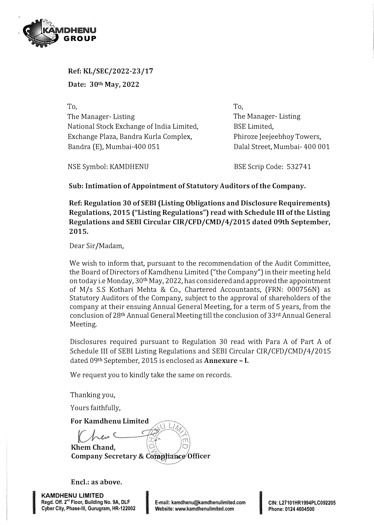

**Ref: KL/SEC/2022-23 /17 Date: 30 th May, 2022** 

**To,**  The Manager- Listing National Stock Exchange of India Limited, Exchange Plaza, Bandra Kurla Complex, Bandra (E), Mumbai-400 051

To, The Manager- Listing BSE Limited, Phiroze Jeejeebhoy Towers, Dalal Street, Mumbai- 400 001

NSE Symbol: KAMDHENU

BSE Scrip Code: 532741

**Sub: Intimation of Appointment of Statutory Auditors of the Company.** 

**Ref: Regulation 30 of SEBI (Listing Obligations and Disclosure Requirements) Regulations, 2015 ("Listing Regulations") read with Schedule** III **of the Listing Regulations and SEBI Circular CIR/CFD/CMD/4/2015 dated 09th September, 2015.** 

Dear Sir/Madam,

We wish to inform that, pursuant to the recommendation of the Audit Committee, the Board of Directors of Kamdhenu Limited ("the Company") in their meeting held on today i.e Monday, 30th May, 2022, has considered and approved the appointment of M/s S.S Kothari Mehta & Co., Chartered Accountants, (FRN: 000756N) as Statutory Auditors of the Company, subject to the approval of shareholders of the company at their ensuing Annual General Meeting, for a term of 5 years, from the conclusion of 28th Annual General Meeting till the conclusion of 33rd Annual General Meeting.

Disclosures required pursuant to Regulation 30 read with Para A of Part A of Schedule III of SEBI Listing Regulations and SEBI Circular CIR/CFD/CMD/4/2015 dated 09th September, 2015 is enclosed as **Annexure** - I.

We request you to kindly take the same on records.

Thanking you,

Yours faithfully,

**For Kamdhenu Limited** 

**KhemChand, Company Secretary &** 

Encl.: as above.

**KAMDHENU LIMITED Regd. Off. 2 nd Floor, Building No. 9A, DLF KAMDHENU LIMITED<br>Regd. Off. 2<sup>nd</sup> Floor, Building No. 9A, DLF<br>Cyber City, Phase-III, Gurugram, HR-122002** 

IS NOT COMMUNICATED AND INTERNATIONAL

**E-mail: kamdhenu@kamdhenulimited.com Website: www.kamdhenulimited.com** I

**GIN: L27101HR1994PLC092205 Phone: 0124 4604500**